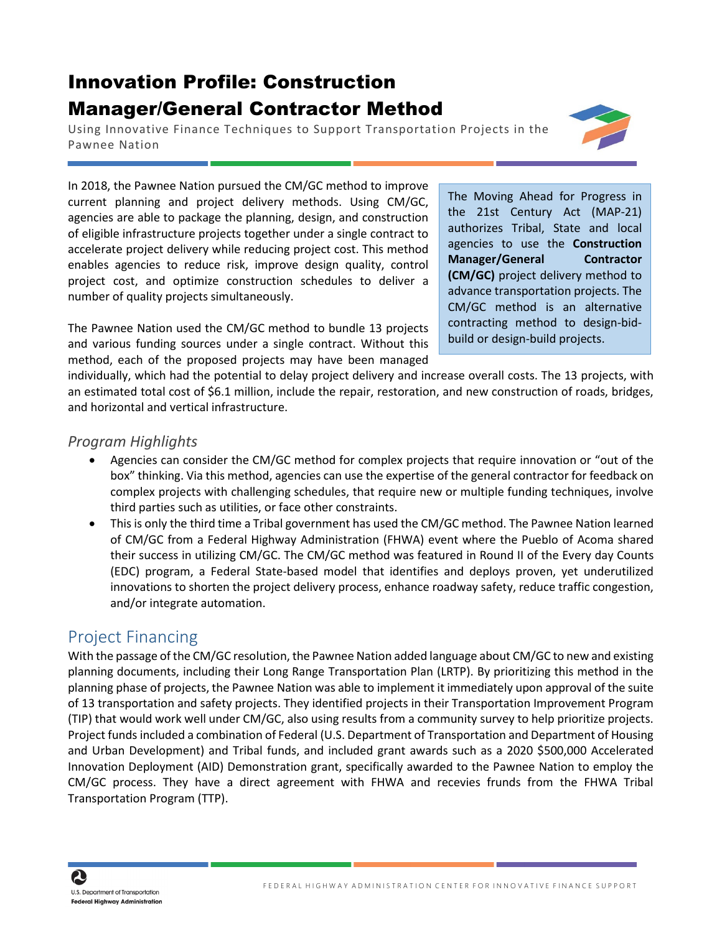## Innovation Profile: Construction Manager/General Contractor Method

Using Innovative Finance Techniques to Support Transportation Projects in the Pawnee Nation

In 2018, the Pawnee Nation pursued the CM/GC method to improve current planning and project delivery methods. Using CM/GC, agencies are able to package the planning, design, and construction of eligible infrastructure projects together under a single contract to accelerate project delivery while reducing project cost. This method enables agencies to reduce risk, improve design quality, control project cost, and optimize construction schedules to deliver a number of quality projects simultaneously.

The Pawnee Nation used the CM/GC method to bundle 13 projects and various funding sources under a single contract. Without this method, each of the proposed projects may have been managed The Moving Ahead for Progress in the 21st Century Act (MAP-21) authorizes Tribal, State and local agencies to use the **Construction Manager/General Contractor (CM/GC)** project delivery method to advance transportation projects. The CM/GC method is an alternative contracting method to design-bidbuild or design-build projects.

individually, which had the potential to delay project delivery and increase overall costs. The 13 projects, with an estimated total cost of \$6.1 million, include the repair, restoration, and new construction of roads, bridges, and horizontal and vertical infrastructure.

## *Program Highlights*

- Agencies can consider the CM/GC method for complex projects that require innovation or "out of the box" thinking. Via this method, agencies can use the expertise of the general contractor for feedback on complex projects with challenging schedules, that require new or multiple funding techniques, involve third parties such as utilities, or face other constraints.
- This is only the third time a Tribal government has used the CM/GC method. The Pawnee Nation learned of CM/GC from a Federal Highway Administration (FHWA) event where the Pueblo of Acoma shared their success in utilizing CM/GC. The CM/GC method was featured in Round II of the Every day Counts (EDC) program, a Federal State-based model that identifies and deploys proven, yet underutilized innovations to shorten the project delivery process, enhance roadway safety, reduce traffic congestion, and/or integrate automation.

## Project Financing

With the passage of the CM/GC resolution, the Pawnee Nation added language about CM/GC to new and existing planning documents, including their Long Range Transportation Plan (LRTP). By prioritizing this method in the planning phase of projects, the Pawnee Nation was able to implement it immediately upon approval of the suite of 13 transportation and safety projects. They identified projects in their Transportation Improvement Program (TIP) that would work well under CM/GC, also using results from a community survey to help prioritize projects. Project funds included a combination of Federal (U.S. Department of Transportation and Department of Housing and Urban Development) and Tribal funds, and included grant awards such as a 2020 \$500,000 Accelerated Innovation Deployment (AID) Demonstration grant, specifically awarded to the Pawnee Nation to employ the CM/GC process. They have a direct agreement with FHWA and recevies frunds from the FHWA Tribal Transportation Program (TTP).